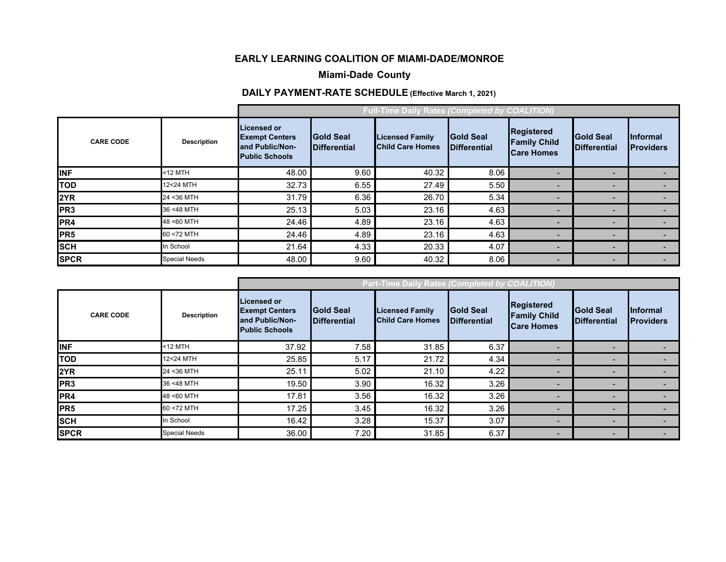#### **EARLY LEARNING COALITION OF MIAMI-DADE/MONROE**

## **Miami-Dade County**

## **DAILY PAYMENT-RATE SCHEDULE (Effective March 1, 2021)**

|                  | <b>Full-Time Daily Rates (Completed by COALITION)</b> |                                                                                         |                                         |                                                   |                                         |                                                        |                                          |                                      |
|------------------|-------------------------------------------------------|-----------------------------------------------------------------------------------------|-----------------------------------------|---------------------------------------------------|-----------------------------------------|--------------------------------------------------------|------------------------------------------|--------------------------------------|
| <b>CARE CODE</b> | <b>Description</b>                                    | <b>Licensed or</b><br><b>Exempt Centers</b><br>and Public/Non-<br><b>Public Schools</b> | <b>Gold Seal</b><br><b>Differential</b> | <b>Licensed Family</b><br><b>Child Care Homes</b> | <b>Gold Seal</b><br><b>Differential</b> | Registered<br><b>Family Child</b><br><b>Care Homes</b> | <b>Gold Seal</b><br><b>IDifferential</b> | <b>Informal</b><br><b>IProviders</b> |
| <b>INF</b>       | <12 MTH                                               | 48.00                                                                                   | 9.60                                    | 40.32                                             | 8.06                                    |                                                        |                                          |                                      |
| <b>TOD</b>       | 12<24 MTH                                             | 32.73                                                                                   | 6.55                                    | 27.49                                             | 5.50                                    |                                                        |                                          |                                      |
| 2YR              | 24 < 36 MTH                                           | 31.79                                                                                   | 6.36                                    | 26.70                                             | 5.34                                    |                                                        |                                          |                                      |
| PR <sub>3</sub>  | 36 <48 MTH                                            | 25.13                                                                                   | 5.03                                    | 23.16                                             | 4.63                                    | $\overline{\phantom{0}}$                               |                                          |                                      |
| PR4              | 48 <60 MTH                                            | 24.46                                                                                   | 4.89                                    | 23.16                                             | 4.63                                    | $\overline{\phantom{0}}$                               |                                          |                                      |
| PR <sub>5</sub>  | 60 <72 MTH                                            | 24.46                                                                                   | 4.89                                    | 23.16                                             | 4.63                                    |                                                        |                                          |                                      |
| <b>SCH</b>       | In School                                             | 21.64                                                                                   | 4.33                                    | 20.33                                             | 4.07                                    |                                                        |                                          |                                      |
| <b>SPCR</b>      | <b>Special Needs</b>                                  | 48.00                                                                                   | 9.60                                    | 40.32                                             | 8.06                                    | $\blacksquare$                                         |                                          |                                      |

|                  |                    | Part-Time Daily Rates (Completed by COALITION)                                          |                                          |                                                   |                                         |                                                               |                                         |                                      |
|------------------|--------------------|-----------------------------------------------------------------------------------------|------------------------------------------|---------------------------------------------------|-----------------------------------------|---------------------------------------------------------------|-----------------------------------------|--------------------------------------|
| <b>CARE CODE</b> | <b>Description</b> | <b>Licensed or</b><br><b>Exempt Centers</b><br>and Public/Non-<br><b>Public Schools</b> | <b>Gold Seal</b><br><b>IDifferential</b> | <b>Licensed Family</b><br><b>Child Care Homes</b> | <b>Gold Seal</b><br><b>Differential</b> | <b>Registered</b><br><b>Family Child</b><br><b>Care Homes</b> | <b>Gold Seal</b><br><b>Differential</b> | <b>Informal</b><br><b>IProviders</b> |
| <b>INF</b>       | <12 MTH            | 37.92                                                                                   | 7.58                                     | 31.85                                             | 6.37                                    | $\overline{\phantom{a}}$                                      | $\overline{\phantom{0}}$                |                                      |
| <b>TOD</b>       | 12<24 MTH          | 25.85                                                                                   | 5.17                                     | 21.72                                             | 4.34                                    | $\overline{\phantom{a}}$                                      |                                         |                                      |
| 2YR              | 24 < 36 MTH        | 25.11                                                                                   | 5.02                                     | 21.10                                             | 4.22                                    | $\overline{\phantom{0}}$                                      | ۰                                       |                                      |
| PR <sub>3</sub>  | 36 <48 MTH         | 19.50                                                                                   | 3.90                                     | 16.32                                             | 3.26                                    | $\overline{\phantom{0}}$                                      | $\overline{\phantom{0}}$                |                                      |
| PR4              | 48 <60 MTH         | 17.81                                                                                   | 3.56                                     | 16.32                                             | 3.26                                    | -                                                             | ۰                                       |                                      |
| PR <sub>5</sub>  | 60 <72 MTH         | 17.25                                                                                   | 3.45                                     | 16.32                                             | 3.26                                    |                                                               | -                                       |                                      |
| <b>SCH</b>       | n School           | 16.42                                                                                   | 3.28                                     | 15.37                                             | 3.07                                    | $\overline{\phantom{0}}$                                      | $\overline{\phantom{0}}$                |                                      |
| <b>SPCR</b>      | Special Needs      | 36.00                                                                                   | 7.20                                     | 31.85                                             | 6.37                                    | $\overline{\phantom{0}}$                                      | -                                       |                                      |